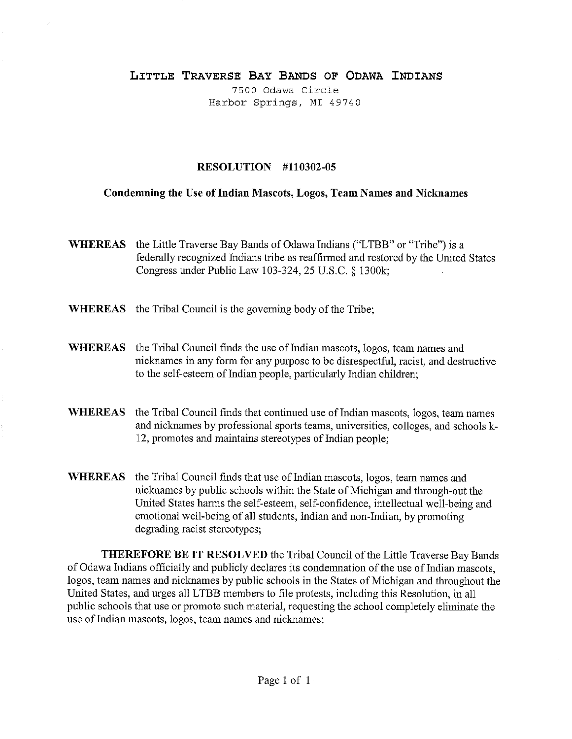## **LITTLE TRAVERSE BAY BANDS OF ODAWA INDIANS**

7500 Odawa Circle Harbor Springs, MT 49740

## **RESOLUTION #110302-05**

## **Condemning the Use of Indian Mascots, Logos, Team Names and Nicknames**

- **WHEREAS** the Little Traverse Bay Bands of Odawa Indians ("LTBB" or "Tribe") is a federally recognized Indians tribe as reaffirmed and restored by the United States Congress under Public Law 103-324, 25 U.S.C. § 1300k;
- **WHEREAS** the Tribal Council is the governing body of the Tribe;
- **WHEREAS** the Tribal Council finds the use of Indian mascots, logos, team names and nicknames in any form for any purpose to be disrespectful, racist, and destructive to the self-esteem of Indian people, particularly Indian children;
- **WHEREAS** the Tribal Council finds that continued use of Indian mascots, logos, team names and nicknames by professional sports teams, universities, colleges, and schools k-12, promotes and maintains stereotypes of Indian people;
- **WHEREAS** the Tribal Council finds that use of Indian mascots, logos, team names and nicknames by public schools within the State of Michigan and through-out the United States harms the self-esteem, self-confidence, intellectual well-being and emotional well-being of all students, Indian and non-Indian, by promoting degrading racist stereotypes;

**THEREFORE BE IT RESOLVED** the Tribal Council of the Little Traverse Bay Bands of Odawa Indians officially and publicly declares its condemnation of the use of Indian mascots, logos, team names and nicknames by public schools in the States of Michigan and throughout the United States, and urges all LTBB members to file protests, including this Resolution, in all public schools that use or promote such material, requesting the school completely eliminate the use of Indian mascots, logos, team names and nicknames;